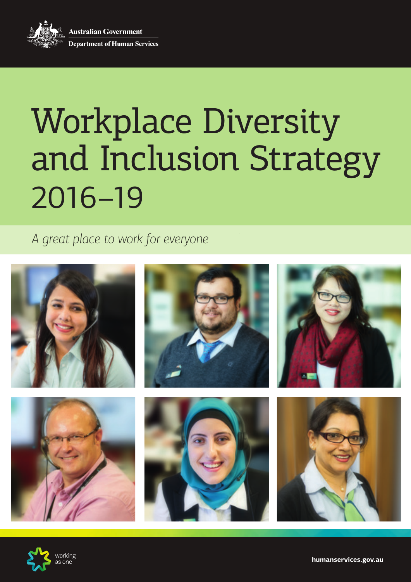**Australian Government Department of Human Services** 

# Workplace Diversity and Inclusion Strategy 2016–19

*A great place to work for everyone*



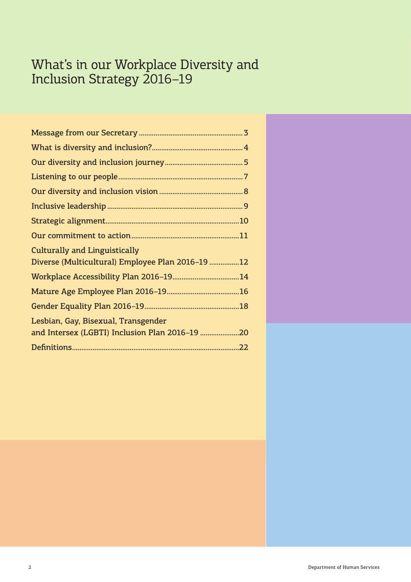## What's in our Workplace Diversity and Inclusion Strategy 2016–19

| <b>Culturally and Linguistically</b>             |  |
|--------------------------------------------------|--|
| Diverse (Multicultural) Employee Plan 2016-19 12 |  |
|                                                  |  |
|                                                  |  |
|                                                  |  |
| Lesbian, Gay, Bisexual, Transgender              |  |
| and Intersex (LGBTI) Inclusion Plan 2016-19 20   |  |
|                                                  |  |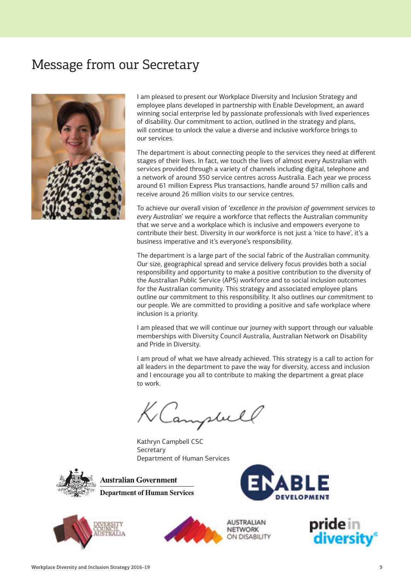## <span id="page-2-0"></span>Message from our Secretary



I am pleased to present our Workplace Diversity and Inclusion Strategy and employee plans developed in partnership with Enable Development, an award winning social enterprise led by passionate professionals with lived experiences of disability. Our commitment to action, outlined in the strategy and plans, will continue to unlock the value a diverse and inclusive workforce brings to our services.

The department is about connecting people to the services they need at different stages of their lives. In fact, we touch the lives of almost every Australian with services provided through a variety of channels including digital, telephone and a network of around 350 service centres across Australia. Each year we process around 61 million Express Plus transactions, handle around 57 million calls and receive around 26 million visits to our service centres.

To achieve our overall vision of '*excellence in the provision of government services to every Australian*' we require a workforce that reflects the Australian community that we serve and a workplace which is inclusive and empowers everyone to contribute their best. Diversity in our workforce is not just a 'nice to have', it's a business imperative and it's everyone's responsibility.

The department is a large part of the social fabric of the Australian community. Our size, geographical spread and service delivery focus provides both a social responsibility and opportunity to make a positive contribution to the diversity of the Australian Public Service (APS) workforce and to social inclusion outcomes for the Australian community. This strategy and associated employee plans outline our commitment to this responsibility. It also outlines our commitment to our people. We are committed to providing a positive and safe workplace where inclusion is a priority.

I am pleased that we will continue our journey with support through our valuable memberships with Diversity Council Australia, Australian Network on Disability and Pride in Diversity.

I am proud of what we have already achieved. This strategy is a call to action for all leaders in the department to pave the way for diversity, access and inclusion and I encourage you all to contribute to making the department a great place to work.

KCampbell

Kathryn Campbell CSC Secretary Department of Human Services



**Australian Government Department of Human Services** 







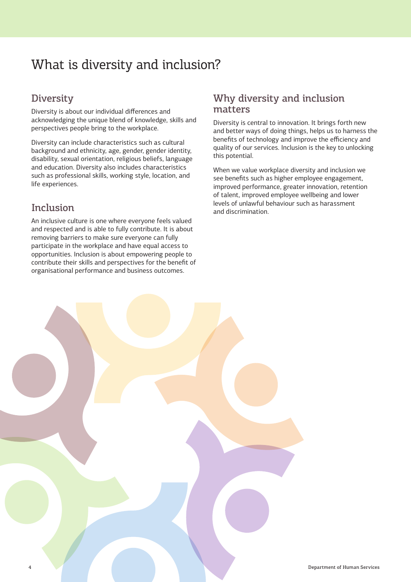## What is diversity and inclusion?

#### **Diversity**

Diversity is about our individual differences and acknowledging the unique blend of knowledge, skills and perspectives people bring to the workplace.

Diversity can include characteristics such as cultural background and ethnicity, age, gender, gender identity, disability, sexual orientation, religious beliefs, language and education. Diversity also includes characteristics such as professional skills, working style, location, and life experiences.

#### Inclusion

An inclusive culture is one where everyone feels valued and respected and is able to fully contribute. It is about removing barriers to make sure everyone can fully participate in the workplace and have equal access to opportunities. Inclusion is about empowering people to contribute their skills and perspectives for the benefit of organisational performance and business outcomes.

#### Why diversity and inclusion matters

Diversity is central to innovation. It brings forth new and better ways of doing things, helps us to harness the benefits of technology and improve the efficiency and quality of our services. Inclusion is the key to unlocking this potential.

When we value workplace diversity and inclusion we see benefits such as higher employee engagement, improved performance, greater innovation, retention of talent, improved employee wellbeing and lower levels of unlawful behaviour such as harassment and discrimination.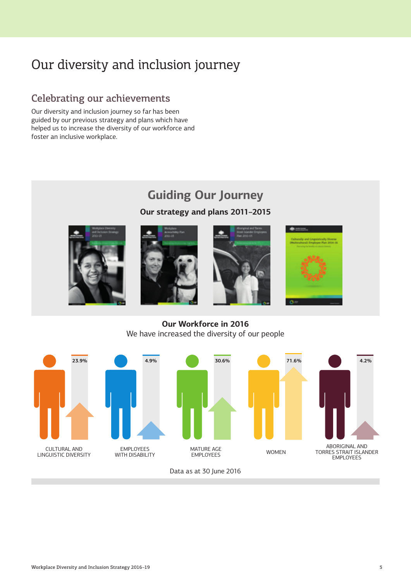## <span id="page-4-0"></span>Our diversity and inclusion journey

#### Celebrating our achievements

Our diversity and inclusion journey so far has been guided by our previous strategy and plans which have helped us to increase the diversity of our workforce and foster an inclusive workplace.

## **Guiding Our Journey**

**Our strategy and plans 2011–2015**









**Our Workforce in 2016** We have increased the diversity of our people



Data as at 30 June 2016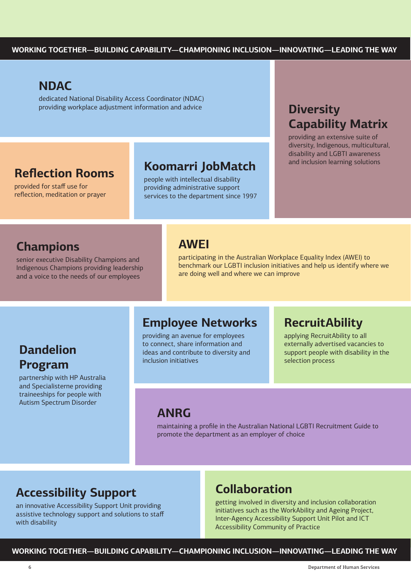#### <span id="page-5-0"></span>**NDAC**

dedicated National Disability Access Coordinator (NDAC) providing workplace adjustment information and advice **Diversity** 

## **Reflection Rooms**

provided for staff use for reflection, meditation or prayer

## **Koomarri JobMatch** and inclusion learning solutions

people with intellectual disability providing administrative support services to the department since 1997

## **Capability Matrix**

providing an extensive suite of diversity, Indigenous, multicultural, disability and LGBTI awareness

## **Champions**

senior executive Disability Champions and Indigenous Champions providing leadership and a voice to the needs of our employees

#### **AWEI**

participating in the Australian Workplace Equality Index (AWEI) to benchmark our LGBTI inclusion initiatives and help us identify where we are doing well and where we can improve

## **Dandelion Program**

partnership with HP Australia and Specialisterne providing traineeships for people with Autism Spectrum Disorder

## **Employee Networks**

providing an avenue for employees to connect, share information and ideas and contribute to diversity and inclusion initiatives

## **RecruitAbility**

applying RecruitAbility to all externally advertised vacancies to support people with disability in the selection process

#### **ANRG**

maintaining a profile in the Australian National LGBTI Recruitment Guide to promote the department as an employer of choice

## **Accessibility Support**

an innovative Accessibility Support Unit providing assistive technology support and solutions to staff with disability

#### **Collaboration**

getting involved in diversity and inclusion collaboration initiatives such as the WorkAbility and Ageing Project, Inter-Agency Accessibility Support Unit Pilot and ICT Accessibility Community of Practice

**WORKING TOGETHER—BUILDING CAPABILITY—CHAMPIONING INCLUSION—INNOVATING—LEADING THE WAY**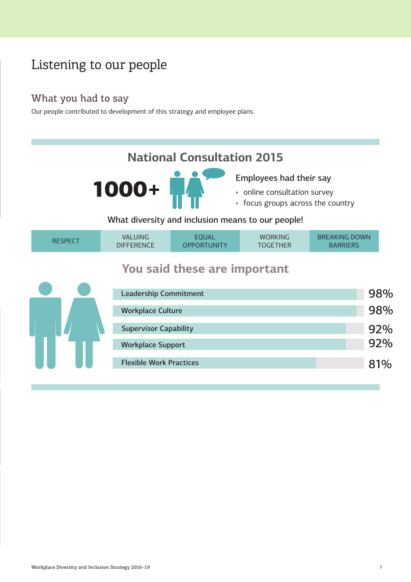## Listening to our people

#### What you had to say

Our people contributed to development of this strategy and employee plans.

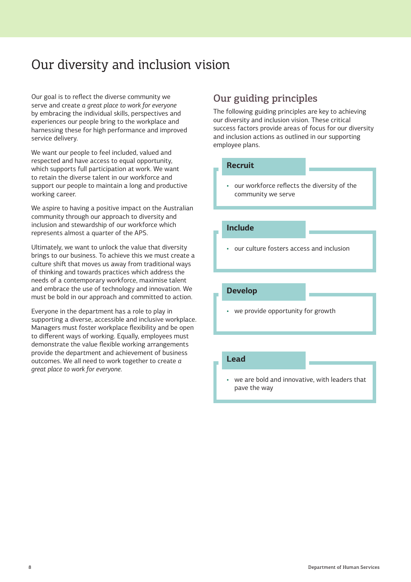## <span id="page-7-0"></span>Our diversity and inclusion vision

Our goal is to reflect the diverse community we serve and create *a great place to work for everyone* by embracing the individual skills, perspectives and experiences our people bring to the workplace and harnessing these for high performance and improved service delivery.

We want our people to feel included, valued and respected and have access to equal opportunity, which supports full participation at work. We want to retain the diverse talent in our workforce and support our people to maintain a long and productive working career.

We aspire to having a positive impact on the Australian community through our approach to diversity and inclusion and stewardship of our workforce which represents almost a quarter of the APS.

Ultimately, we want to unlock the value that diversity brings to our business. To achieve this we must create a culture shift that moves us away from traditional ways of thinking and towards practices which address the needs of a contemporary workforce, maximise talent and embrace the use of technology and innovation. We must be bold in our approach and committed to action.

Everyone in the department has a role to play in supporting a diverse, accessible and inclusive workplace. Managers must foster workplace flexibility and be open to different ways of working. Equally, employees must demonstrate the value flexible working arrangements provide the department and achievement of business outcomes. We all need to work together to create *a great place to work for everyone*.

#### Our guiding principles

The following guiding principles are key to achieving our diversity and inclusion vision. These critical success factors provide areas of focus for our diversity and inclusion actions as outlined in our supporting employee plans.

#### **Recruit**

• our workforce reflects the diversity of the community we serve

#### **Include**

• our culture fosters access and inclusion

#### **Develop**

we provide opportunity for growth

#### **Lead**

we are bold and innovative, with leaders that pave the way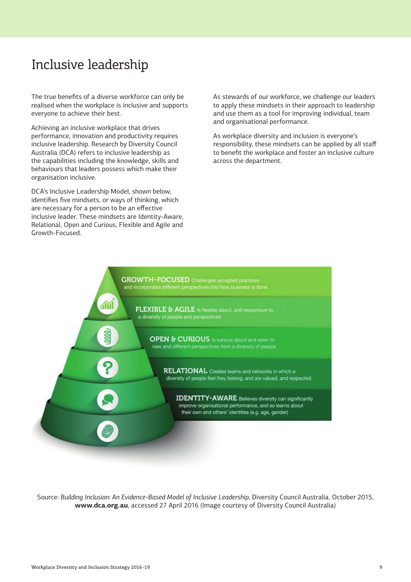## <span id="page-8-0"></span>Inclusive leadership

The true benefits of a diverse workforce can only be realised when the workplace is inclusive and supports everyone to achieve their best.

Achieving an inclusive workplace that drives performance, innovation and productivity requires inclusive leadership. Research by Diversity Council Australia (DCA) refers to inclusive leadership as the capabilities including the knowledge, skills and behaviours that leaders possess which make their organisation inclusive.

DCA's Inclusive Leadership Model, shown below, identifies five mindsets, or ways of thinking, which are necessary for a person to be an effective inclusive leader. These mindsets are Identity-Aware, Relational, Open and Curious, Flexible and Agile and Growth-Focused.

As stewards of our workforce, we challenge our leaders to apply these mindsets in their approach to leadership and use them as a tool for improving individual, team and organisational performance.

As workplace diversity and inclusion is everyone's responsibility, these mindsets can be applied by all staff to benefit the workplace and foster an inclusive culture across the department.



Source: *Building Inclusion: An Evidence-Based Model of Inclusive Leadership*, Diversity Council Australia, October 2015, **www.dca.org.au**, accessed 27 April 2016 (Image courtesy of Diversity Council Australia)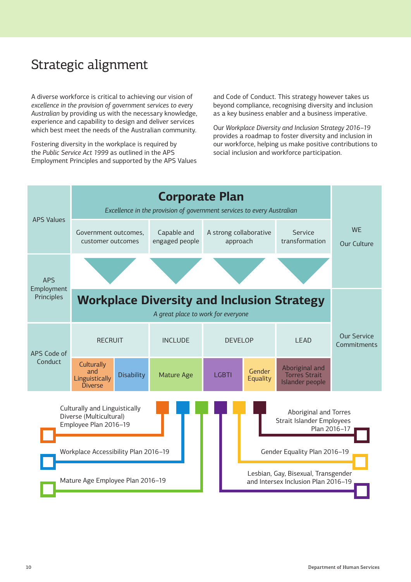## <span id="page-9-0"></span>Strategic alignment

A diverse workforce is critical to achieving our vision of *excellence in the provision of government services to every Australian* by providing us with the necessary knowledge, experience and capability to design and deliver services which best meet the needs of the Australian community.

Fostering diversity in the workplace is required by the *Public Service Act 1999* as outlined in the APS Employment Principles and supported by the APS Values

and Code of Conduct. This strategy however takes us beyond compliance, recognising diversity and inclusion as a key business enabler and a business imperative.

Our *Workplace Diversity and Inclusion Strategy 2016–19*  provides a roadmap to foster diversity and inclusion in our workforce, helping us make positive contributions to social inclusion and workforce participation.

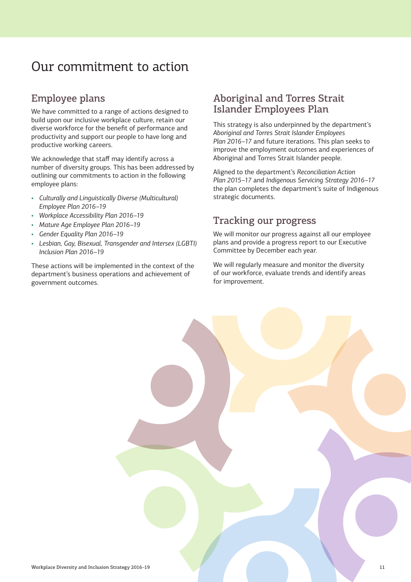#### <span id="page-10-0"></span>Employee plans

We have committed to a range of actions designed to build upon our inclusive workplace culture, retain our diverse workforce for the benefit of performance and productivity and support our people to have long and productive working careers.

We acknowledge that staff may identify across a number of diversity groups. This has been addressed by outlining our commitments to action in the following employee plans:

- *Culturally and Linguistically Diverse (Multicultural) Employee Plan 2016–19*
- *Workplace Accessibility Plan 2016–19*
- *Mature Age Employee Plan 2016–19*
- *Gender Equality Plan 2016–19*
- *Lesbian, Gay, Bisexual, Transgender and Intersex (LGBTI) Inclusion Plan 2016–19*

These actions will be implemented in the context of the department's business operations and achievement of government outcomes.

#### Aboriginal and Torres Strait Islander Employees Plan

This strategy is also underpinned by the department's *Aboriginal and Torres Strait Islander Employees Plan 2016–17* and future iterations. This plan seeks to improve the employment outcomes and experiences of Aboriginal and Torres Strait Islander people.

Aligned to the department's *Reconciliation Action Plan 2015–17* and *Indigenous Servicing Strategy 2016–17* the plan completes the department's suite of Indigenous strategic documents.

#### Tracking our progress

We will monitor our progress against all our employee plans and provide a progress report to our Executive Committee by December each year.

We will regularly measure and monitor the diversity of our workforce, evaluate trends and identify areas for improvement.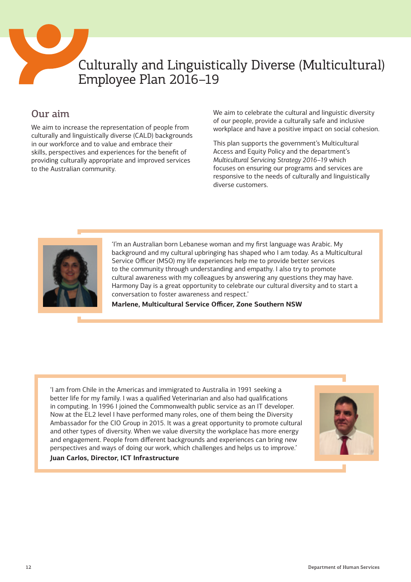<span id="page-11-0"></span>

## Culturally and Linguistically Diverse (Multicultural) Employee Plan 2016–19

#### Our aim

We aim to increase the representation of people from culturally and linguistically diverse (CALD) backgrounds in our workforce and to value and embrace their skills, perspectives and experiences for the benefit of providing culturally appropriate and improved services to the Australian community.

We aim to celebrate the cultural and linguistic diversity of our people, provide a culturally safe and inclusive workplace and have a positive impact on social cohesion.

This plan supports the government's Multicultural Access and Equity Policy and the department's *Multicultural Servicing Strategy 2016–19* which focuses on ensuring our programs and services are responsive to the needs of culturally and linguistically diverse customers.



'I'm an Australian born Lebanese woman and my first language was Arabic. My background and my cultural upbringing has shaped who I am today. As a Multicultural Service Officer (MSO) my life experiences help me to provide better services to the community through understanding and empathy. I also try to promote cultural awareness with my colleagues by answering any questions they may have. Harmony Day is a great opportunity to celebrate our cultural diversity and to start a conversation to foster awareness and respect.'

**Marlene, Multicultural Service Officer, Zone Southern NSW**

'I am from Chile in the Americas and immigrated to Australia in 1991 seeking a better life for my family. I was a qualified Veterinarian and also had qualifications in computing. In 1996 I joined the Commonwealth public service as an IT developer. Now at the EL2 level I have performed many roles, one of them being the Diversity Ambassador for the CIO Group in 2015. It was a great opportunity to promote cultural and other types of diversity. When we value diversity the workplace has more energy and engagement. People from different backgrounds and experiences can bring new perspectives and ways of doing our work, which challenges and helps us to improve.'



**Juan Carlos, Director, ICT Infrastructure**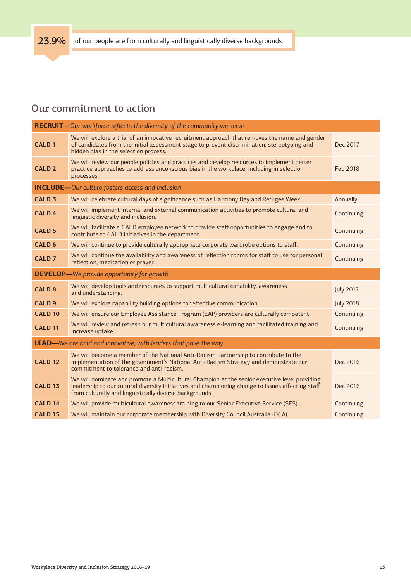<span id="page-12-0"></span>

|                                                                         | <b>RECRUIT</b> -Our workforce reflects the diversity of the community we serve                                                                                                                                                                                |                  |
|-------------------------------------------------------------------------|---------------------------------------------------------------------------------------------------------------------------------------------------------------------------------------------------------------------------------------------------------------|------------------|
| <b>CALD 1</b>                                                           | We will explore a trial of an innovative recruitment approach that removes the name and gender<br>of candidates from the initial assessment stage to prevent discrimination, stereotyping and<br>hidden bias in the selection process.                        | Dec 2017         |
| <b>CALD 2</b>                                                           | We will review our people policies and practices and develop resources to implement better<br>practice approaches to address unconscious bias in the workplace, including in selection<br>processes.                                                          | Feb 2018         |
|                                                                         | <b>INCLUDE</b> -Our culture fosters access and inclusion                                                                                                                                                                                                      |                  |
| <b>CALD<sub>3</sub></b>                                                 | We will celebrate cultural days of significance such as Harmony Day and Refugee Week.                                                                                                                                                                         | Annually         |
| <b>CALD4</b>                                                            | We will implement internal and external communication activities to promote cultural and<br>linguistic diversity and inclusion.                                                                                                                               | Continuing       |
| <b>CALD 5</b>                                                           | We will facilitate a CALD employee network to provide staff opportunities to engage and to<br>contribute to CALD initiatives in the department.                                                                                                               | Continuing       |
| <b>CALD 6</b>                                                           | We will continue to provide culturally appropriate corporate wardrobe options to staff.                                                                                                                                                                       | Continuing       |
| <b>CALD 7</b>                                                           | We will continue the availability and awareness of reflection rooms for staff to use for personal<br>reflection, meditation or prayer.                                                                                                                        | Continuing       |
|                                                                         | <b>DEVELOP</b> —We provide opportunity for growth                                                                                                                                                                                                             |                  |
| <b>CALD<sub>8</sub></b>                                                 | We will develop tools and resources to support multicultural capability, awareness<br>and understanding.                                                                                                                                                      | <b>July 2017</b> |
| <b>CALD 9</b>                                                           | We will explore capability building options for effective communication.                                                                                                                                                                                      | <b>July 2018</b> |
| <b>CALD 10</b>                                                          | We will ensure our Employee Assistance Program (EAP) providers are culturally competent.                                                                                                                                                                      | Continuing       |
| <b>CALD 11</b>                                                          | We will review and refresh our multicultural awareness e-learning and facilitated training and<br>increase uptake.                                                                                                                                            | Continuing       |
| <b>LEAD</b> —We are bold and innovative, with leaders that pave the way |                                                                                                                                                                                                                                                               |                  |
|                                                                         | We will become a member of the National Anti-Racism Partnership to contribute to the                                                                                                                                                                          |                  |
| <b>CALD 12</b>                                                          | implementation of the government's National Anti-Racism Strategy and demonstrate our<br>commitment to tolerance and anti-racism.                                                                                                                              | Dec 2016         |
| <b>CALD 13</b>                                                          | We will nominate and promote a Multicultural Champion at the senior executive level providing<br>leadership to our cultural diversity initiatives and championing change to issues affecting staff<br>from culturally and linguistically diverse backgrounds. | Dec 2016         |
| <b>CALD 14</b>                                                          | We will provide multicultural awareness training to our Senior Executive Service (SES).                                                                                                                                                                       | Continuing       |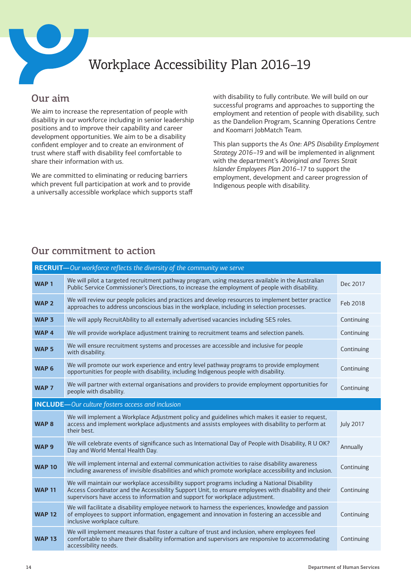

## Workplace Accessibility Plan 2016–19

#### Our aim

We aim to increase the representation of people with disability in our workforce including in senior leadership positions and to improve their capability and career development opportunities. We aim to be a disability confident employer and to create an environment of trust where staff with disability feel comfortable to share their information with us.

We are committed to eliminating or reducing barriers which prevent full participation at work and to provide a universally accessible workplace which supports staff with disability to fully contribute. We will build on our successful programs and approaches to supporting the employment and retention of people with disability, such as the Dandelion Program, Scanning Operations Centre and Koomarri JobMatch Team.

This plan supports the *As One: APS Disability Employment Strategy 2016–19* and will be implemented in alignment with the department's *Aboriginal and Torres Strait Islander Employees Plan 2016–17* to support the employment, development and career progression of Indigenous people with disability.

#### **RECRUIT—***Our workforce reflects the diversity of the community we serve* **WAP 1** We will pilot a targeted recruitment pathway program, using measures available in the Australian we will pliot a targeted recruitment pathway program, using measures available in the Australian<br>Public Service Commissioner's Directions, to increase the employment of people with disability. Dec 2017 We will review our people policies and practices and develop resources to implement better practice we will review our people policies and practices and develop resources to implement better practice Feb 2018<br>approaches to address unconscious bias in the workplace, including in selection processes. WAP 3 We will apply RecruitAbility to all externally advertised vacancies including SES roles. Continuing WAP 4 We will provide workplace adjustment training to recruitment teams and selection panels. Continuing **WAP 5** We will ensure recruitment systems and processes are accessible and inclusive for people **with disability.**<br>WAP 5 with disability. We will promote our work experience and entry level pathway programs to provide employment opportunities for people with disability, including Indigenous people with disability. Continuing opportunities for people with disability, including Indigenous people with disability. **WAP 7** We will partner with external organisations and providers to provide employment opportunities for **Continuing**<br>people with disability. **INCLUDE—***Our culture fosters access and inclusion* **WAP 8** We will implement a Workplace Adjustment policy and guidelines which makes it easier to request, access and implement workplace adjustments and assists employees with disability to perform at their best. July 2017 **WAP 9** We will celebrate events of significance such as International Day of People with Disability, R U OK? Annually<br>Day and World Mental Health Day. **WAP 10** We will implement internal and external communication activities to raise disability awareness including awareness of invisible disabilities and which promote workplace accessibility and inclusion. Continuing **WAP 11** We will maintain our workplace accessibility support programs including a National Disability Access Coordinator and the Accessibility Support Unit, to ensure employees with disability and their supervisors have access to information and support for workplace adjustment. **Continuing WAP 12** We will facilitate a disability employee network to harness the experiences, knowledge and passion of employees to support information, engagement and innovation in fostering an accessible and inclusive workplace culture. **Continuing WAP 13** We will implement measures that foster a culture of trust and inclusion, where employees feel comfortable to share their disability information and supervisors are responsive to accommodating accessibility needs. **Continuing**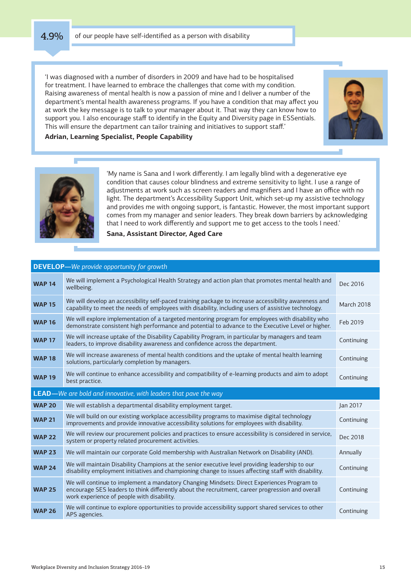<span id="page-14-0"></span>

'I was diagnosed with a number of disorders in 2009 and have had to be hospitalised for treatment. I have learned to embrace the challenges that come with my condition. Raising awareness of mental health is now a passion of mine and I deliver a number of the department's mental health awareness programs. If you have a condition that may affect you at work the key message is to talk to your manager about it. That way they can know how to support you. I also encourage staff to identify in the Equity and Diversity page in ESSentials. This will ensure the department can tailor training and initiatives to support staff.'



#### **Adrian, Learning Specialist, People Capability**



'My name is Sana and I work differently. I am legally blind with a degenerative eye condition that causes colour blindness and extreme sensitivity to light. I use a range of adjustments at work such as screen readers and magnifiers and I have an office with no light. The department's Accessibility Support Unit, which set-up my assistive technology and provides me with ongoing support, is fantastic. However, the most important support comes from my manager and senior leaders. They break down barriers by acknowledging that I need to work differently and support me to get access to the tools I need.'

**Sana, Assistant Director, Aged Care**

#### **DEVELOP—***We provide opportunity for growth*

| <b>WAP 14</b> | We will implement a Psychological Health Strategy and action plan that promotes mental health and<br>wellbeing.                                                                                                                              | Dec 2016          |
|---------------|----------------------------------------------------------------------------------------------------------------------------------------------------------------------------------------------------------------------------------------------|-------------------|
| <b>WAP 15</b> | We will develop an accessibility self-paced training package to increase accessibility awareness and<br>capability to meet the needs of employees with disability, including users of assistive technology.                                  | <b>March 2018</b> |
| <b>WAP 16</b> | We will explore implementation of a targeted mentoring program for employees with disability who<br>demonstrate consistent high performance and potential to advance to the Executive Level or higher.                                       | Feb 2019          |
| <b>WAP 17</b> | We will increase uptake of the Disability Capability Program, in particular by managers and team<br>leaders, to improve disability awareness and confidence across the department.                                                           | Continuing        |
| <b>WAP 18</b> | We will increase awareness of mental health conditions and the uptake of mental health learning<br>solutions, particularly completion by managers.                                                                                           | Continuing        |
| <b>WAP 19</b> | We will continue to enhance accessibility and compatibility of e-learning products and aim to adopt<br>best practice.                                                                                                                        | Continuing        |
|               | <b>LEAD</b> —We are bold and innovative, with leaders that pave the way                                                                                                                                                                      |                   |
|               |                                                                                                                                                                                                                                              |                   |
| <b>WAP 20</b> | We will establish a departmental disability employment target.                                                                                                                                                                               | Jan 2017          |
| <b>WAP 21</b> | We will build on our existing workplace accessibility programs to maximise digital technology<br>improvements and provide innovative accessibility solutions for employees with disability.                                                  | Continuing        |
| <b>WAP 22</b> | We will review our procurement policies and practices to ensure accessibility is considered in service,<br>system or property related procurement activities.                                                                                | Dec 2018          |
| <b>WAP 23</b> | We will maintain our corporate Gold membership with Australian Network on Disability (AND).                                                                                                                                                  | Annually          |
| <b>WAP 24</b> | We will maintain Disability Champions at the senior executive level providing leadership to our<br>disability employment initiatives and championing change to issues affecting staff with disability.                                       | Continuing        |
| <b>WAP 25</b> | We will continue to implement a mandatory Changing Mindsets: Direct Experiences Program to<br>encourage SES leaders to think differently about the recruitment, career progression and overall<br>work experience of people with disability. | Continuing        |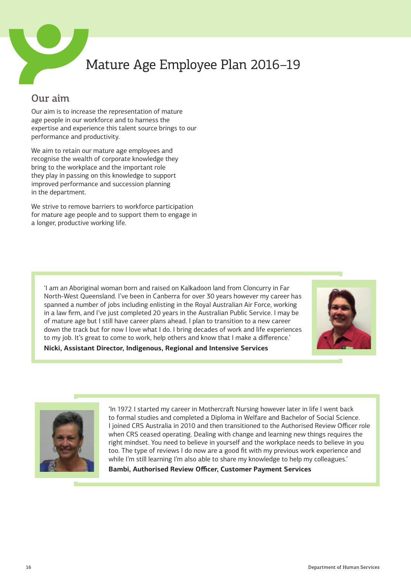

## Mature Age Employee Plan 2016–19

#### Our aim

Our aim is to increase the representation of mature age people in our workforce and to harness the expertise and experience this talent source brings to our performance and productivity.

We aim to retain our mature age employees and recognise the wealth of corporate knowledge they bring to the workplace and the important role they play in passing on this knowledge to support improved performance and succession planning in the department.

We strive to remove barriers to workforce participation for mature age people and to support them to engage in a longer, productive working life.

'I am an Aboriginal woman born and raised on Kalkadoon land from Cloncurry in Far North-West Queensland. I've been in Canberra for over 30 years however my career has spanned a number of jobs including enlisting in the Royal Australian Air Force, working in a law firm, and I've just completed 20 years in the Australian Public Service. I may be of mature age but I still have career plans ahead. I plan to transition to a new career down the track but for now I love what I do. I bring decades of work and life experiences to my job. It's great to come to work, help others and know that I make a difference.' **Nicki, Assistant Director, Indigenous, Regional and Intensive Services**





'In 1972 I started my career in Mothercraft Nursing however later in life I went back to formal studies and completed a Diploma in Welfare and Bachelor of Social Science. I joined CRS Australia in 2010 and then transitioned to the Authorised Review Officer role when CRS ceased operating. Dealing with change and learning new things requires the right mindset. You need to believe in yourself and the workplace needs to believe in you too. The type of reviews I do now are a good fit with my previous work experience and while I'm still learning I'm also able to share my knowledge to help my colleagues.'

**Bambi, Authorised Review Officer, Customer Payment Services**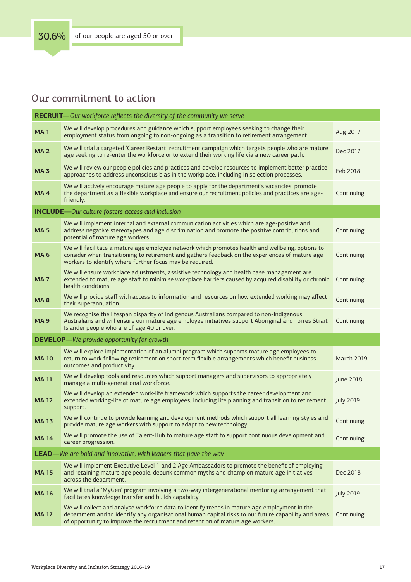| RECRUIT-Our workforce reflects the diversity of the community we serve |                                                                                                                                                                                                                                                                                         |                   |
|------------------------------------------------------------------------|-----------------------------------------------------------------------------------------------------------------------------------------------------------------------------------------------------------------------------------------------------------------------------------------|-------------------|
| <b>MA1</b>                                                             | We will develop procedures and guidance which support employees seeking to change their<br>employment status from ongoing to non-ongoing as a transition to retirement arrangement.                                                                                                     | Aug 2017          |
| <b>MA2</b>                                                             | We will trial a targeted 'Career Restart' recruitment campaign which targets people who are mature<br>age seeking to re-enter the workforce or to extend their working life via a new career path.                                                                                      | Dec 2017          |
| <b>MA3</b>                                                             | We will review our people policies and practices and develop resources to implement better practice<br>approaches to address unconscious bias in the workplace, including in selection processes.                                                                                       | Feb 2018          |
| <b>MA4</b>                                                             | We will actively encourage mature age people to apply for the department's vacancies, promote<br>the department as a flexible workplace and ensure our recruitment policies and practices are age-<br>friendly.                                                                         | Continuing        |
|                                                                        | <b>INCLUDE</b> -Our culture fosters access and inclusion                                                                                                                                                                                                                                |                   |
| <b>MA5</b>                                                             | We will implement internal and external communication activities which are age-positive and<br>address negative stereotypes and age discrimination and promote the positive contributions and<br>potential of mature age workers.                                                       | Continuing        |
| <b>MA6</b>                                                             | We will facilitate a mature age employee network which promotes health and wellbeing, options to<br>consider when transitioning to retirement and gathers feedback on the experiences of mature age<br>workers to identify where further focus may be required.                         | Continuing        |
| <b>MA7</b>                                                             | We will ensure workplace adjustments, assistive technology and health case management are<br>extended to mature age staff to minimise workplace barriers caused by acquired disability or chronic<br>health conditions.                                                                 | Continuing        |
| <b>MA8</b>                                                             | We will provide staff with access to information and resources on how extended working may affect<br>their superannuation.                                                                                                                                                              | Continuing        |
| <b>MA9</b>                                                             | We recognise the lifespan disparity of Indigenous Australians compared to non-Indigenous<br>Australians and will ensure our mature age employee initiatives support Aboriginal and Torres Strait<br>Islander people who are of age 40 or over.                                          | Continuing        |
|                                                                        | <b>DEVELOP</b> —We provide opportunity for growth                                                                                                                                                                                                                                       |                   |
| <b>MA10</b>                                                            | We will explore implementation of an alumni program which supports mature age employees to<br>return to work following retirement on short-term flexible arrangements which benefit business<br>outcomes and productivity.                                                              | <b>March 2019</b> |
| <b>MA11</b>                                                            | We will develop tools and resources which support managers and supervisors to appropriately<br>manage a multi-generational workforce.                                                                                                                                                   | June 2018         |
| <b>MA12</b>                                                            | We will develop an extended work-life framework which supports the career development and<br>extended working-life of mature age employees, including life planning and transition to retirement<br>support.                                                                            | <b>July 2019</b>  |
| <b>MA13</b>                                                            | We will continue to provide learning and development methods which support all learning styles and<br>provide mature age workers with support to adapt to new technology.                                                                                                               | Continuing        |
| <b>MA14</b>                                                            | We will promote the use of Talent-Hub to mature age staff to support continuous development and<br>career progression.                                                                                                                                                                  | Continuing        |
|                                                                        | <b>LEAD</b> —We are bold and innovative, with leaders that pave the way                                                                                                                                                                                                                 |                   |
| <b>MA15</b>                                                            | We will implement Executive Level 1 and 2 Age Ambassadors to promote the benefit of employing<br>and retaining mature age people, debunk common myths and champion mature age initiatives<br>across the department.                                                                     | Dec 2018          |
| <b>MA16</b>                                                            | We will trial a 'MyGen' program involving a two-way intergenerational mentoring arrangement that<br>facilitates knowledge transfer and builds capability.                                                                                                                               | <b>July 2019</b>  |
| <b>MA17</b>                                                            | We will collect and analyse workforce data to identify trends in mature age employment in the<br>department and to identify any organisational human capital risks to our future capability and areas<br>of opportunity to improve the recruitment and retention of mature age workers. | Continuing        |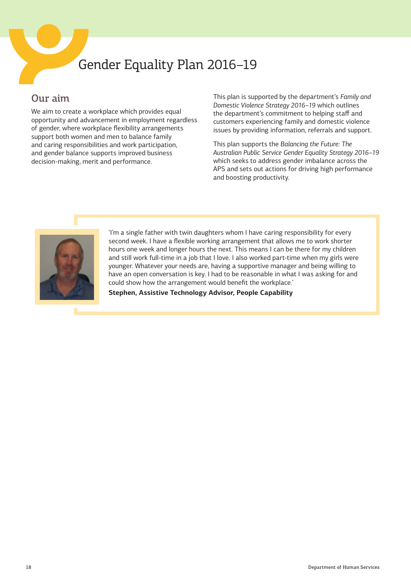## <span id="page-17-0"></span>Gender Equality Plan 2016–19

#### Our aim

We aim to create a workplace which provides equal opportunity and advancement in employment regardless of gender, where workplace flexibility arrangements support both women and men to balance family and caring responsibilities and work participation, and gender balance supports improved business decision-making, merit and performance.

This plan is supported by the department's *Family and Domestic Violence Strategy 2016–19* which outlines the department's commitment to helping staff and customers experiencing family and domestic violence issues by providing information, referrals and support.

This plan supports the *Balancing the Future: The Australian Public Service Gender Equality Strategy 2016–19* which seeks to address gender imbalance across the APS and sets out actions for driving high performance and boosting productivity.



'I'm a single father with twin daughters whom I have caring responsibility for every second week. I have a flexible working arrangement that allows me to work shorter hours one week and longer hours the next. This means I can be there for my children and still work full-time in a job that I love. I also worked part-time when my girls were younger. Whatever your needs are, having a supportive manager and being willing to have an open conversation is key. I had to be reasonable in what I was asking for and could show how the arrangement would benefit the workplace.'

**Stephen, Assistive Technology Advisor, People Capability**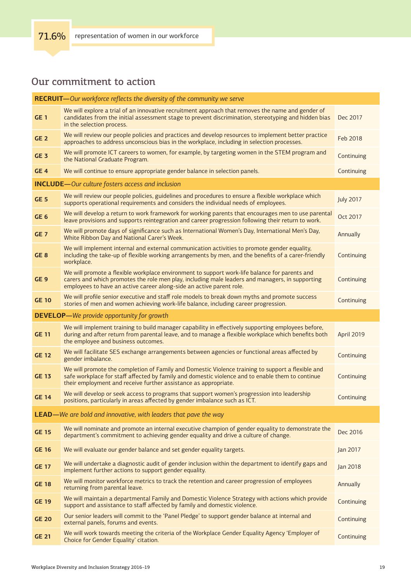| <b>RECRUIT</b> -Our workforce reflects the diversity of the community we serve |                                                                                                                                                                                                                                                                          |                   |  |
|--------------------------------------------------------------------------------|--------------------------------------------------------------------------------------------------------------------------------------------------------------------------------------------------------------------------------------------------------------------------|-------------------|--|
| <b>GE1</b>                                                                     | We will explore a trial of an innovative recruitment approach that removes the name and gender of<br>candidates from the initial assessment stage to prevent discrimination, stereotyping and hidden bias<br>in the selection process.                                   | Dec 2017          |  |
| GE <sub>2</sub>                                                                | We will review our people policies and practices and develop resources to implement better practice<br>approaches to address unconscious bias in the workplace, including in selection processes.                                                                        | Feb 2018          |  |
| <b>GE 3</b>                                                                    | We will promote ICT careers to women, for example, by targeting women in the STEM program and<br>the National Graduate Program.                                                                                                                                          | Continuing        |  |
| GE <sub>4</sub>                                                                | We will continue to ensure appropriate gender balance in selection panels.                                                                                                                                                                                               | Continuing        |  |
|                                                                                | <b>INCLUDE</b> -Our culture fosters access and inclusion                                                                                                                                                                                                                 |                   |  |
| GE <sub>5</sub>                                                                | We will review our people policies, guidelines and procedures to ensure a flexible workplace which<br>supports operational requirements and considers the individual needs of employees.                                                                                 | <b>July 2017</b>  |  |
| GE <sub>6</sub>                                                                | We will develop a return to work framework for working parents that encourages men to use parental<br>leave provisions and supports reintegration and career progression following their return to work.                                                                 | Oct 2017          |  |
| <b>GE 7</b>                                                                    | We will promote days of significance such as International Women's Day, International Men's Day,<br>White Ribbon Day and National Carer's Week.                                                                                                                          | Annually          |  |
| GE <sub>8</sub>                                                                | We will implement internal and external communication activities to promote gender equality,<br>including the take-up of flexible working arrangements by men, and the benefits of a carer-friendly<br>workplace.                                                        | Continuing        |  |
| GE <sub>9</sub>                                                                | We will promote a flexible workplace environment to support work-life balance for parents and<br>carers and which promotes the role men play, including male leaders and managers, in supporting<br>employees to have an active career along-side an active parent role. | Continuing        |  |
| <b>GE 10</b>                                                                   | We will profile senior executive and staff role models to break down myths and promote success<br>stories of men and women achieving work-life balance, including career progression.                                                                                    | Continuing        |  |
|                                                                                | <b>DEVELOP</b> —We provide opportunity for growth                                                                                                                                                                                                                        |                   |  |
| <b>GE 11</b>                                                                   | We will implement training to build manager capability in effectively supporting employees before,<br>during and after return from parental leave, and to manage a flexible workplace which benefits both<br>the employee and business outcomes.                         | <b>April 2019</b> |  |
| <b>GE 12</b>                                                                   | We will facilitate SES exchange arrangements between agencies or functional areas affected by<br>gender imbalance.                                                                                                                                                       | Continuing        |  |
| <b>GE 13</b>                                                                   | We will promote the completion of Family and Domestic Violence training to support a flexible and<br>safe workplace for staff affected by family and domestic violence and to enable them to continue<br>their employment and receive further assistance as appropriate. | Continuing        |  |
| <b>GE 14</b>                                                                   | We will develop or seek access to programs that support women's progression into leadership<br>positions, particularly in areas affected by gender imbalance such as ICT.                                                                                                | Continuing        |  |
|                                                                                | <b>LEAD</b> —We are bold and innovative, with leaders that pave the way                                                                                                                                                                                                  |                   |  |
| <b>GE 15</b>                                                                   | We will nominate and promote an internal executive champion of gender equality to demonstrate the<br>department's commitment to achieving gender equality and drive a culture of change.                                                                                 | Dec 2016          |  |
| <b>GE 16</b>                                                                   | We will evaluate our gender balance and set gender equality targets.                                                                                                                                                                                                     | Jan 2017          |  |
| <b>GE 17</b>                                                                   | We will undertake a diagnostic audit of gender inclusion within the department to identify gaps and<br>implement further actions to support gender equality.                                                                                                             | Jan 2018          |  |
| <b>GE 18</b>                                                                   | We will monitor workforce metrics to track the retention and career progression of employees<br>returning from parental leave.                                                                                                                                           | Annually          |  |
| <b>GE 19</b>                                                                   | We will maintain a departmental Family and Domestic Violence Strategy with actions which provide<br>support and assistance to staff affected by family and domestic violence.                                                                                            | Continuing        |  |
| <b>GE 20</b>                                                                   | Our senior leaders will commit to the 'Panel Pledge' to support gender balance at internal and<br>external panels, forums and events.                                                                                                                                    | Continuing        |  |
| <b>GE 21</b>                                                                   | We will work towards meeting the criteria of the Workplace Gender Equality Agency 'Employer of<br>Choice for Gender Equality' citation.                                                                                                                                  | Continuing        |  |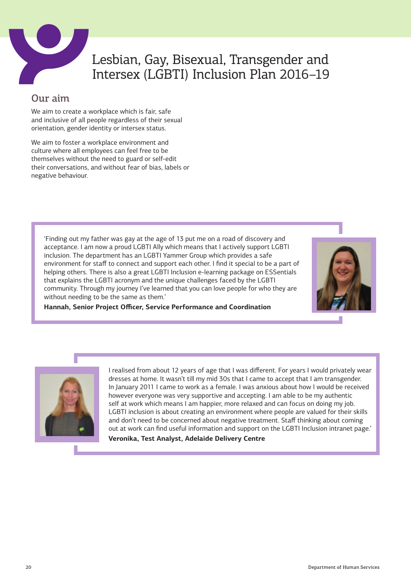<span id="page-19-0"></span>

## Lesbian, Gay, Bisexual, Transgender and Intersex (LGBTI) Inclusion Plan 2016–19

#### Our aim

We aim to create a workplace which is fair, safe and inclusive of all people regardless of their sexual orientation, gender identity or intersex status.

We aim to foster a workplace environment and culture where all employees can feel free to be themselves without the need to guard or self-edit their conversations, and without fear of bias, labels or negative behaviour.

'Finding out my father was gay at the age of 13 put me on a road of discovery and acceptance. I am now a proud LGBTI Ally which means that I actively support LGBTI inclusion. The department has an LGBTI Yammer Group which provides a safe environment for staff to connect and support each other. I find it special to be a part of helping others. There is also a great LGBTI Inclusion e-learning package on ESSentials that explains the LGBTI acronym and the unique challenges faced by the LGBTI community. Through my journey I've learned that you can love people for who they are without needing to be the same as them.'



**Hannah, Senior Project Officer, Service Performance and Coordination**



I realised from about 12 years of age that I was different. For years I would privately wear dresses at home. It wasn't till my mid 30s that I came to accept that I am transgender. In January 2011 I came to work as a female. I was anxious about how I would be received however everyone was very supportive and accepting. I am able to be my authentic self at work which means I am happier, more relaxed and can focus on doing my job. LGBTI inclusion is about creating an environment where people are valued for their skills and don't need to be concerned about negative treatment. Staff thinking about coming out at work can find useful information and support on the LGBTI Inclusion intranet page.'

#### **Veronika, Test Analyst, Adelaide Delivery Centre**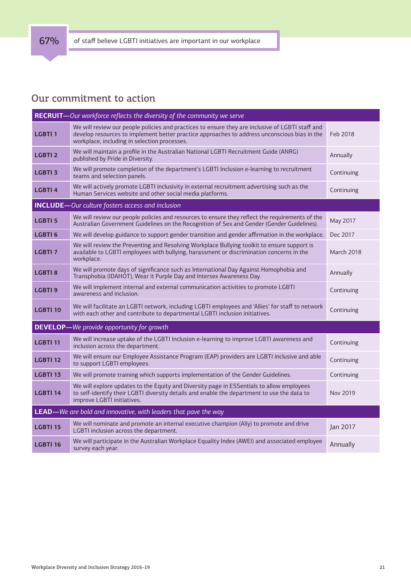|                                                                         | RECRUIT-Our workforce reflects the diversity of the community we serve                                                                                                                                                                           |                   |
|-------------------------------------------------------------------------|--------------------------------------------------------------------------------------------------------------------------------------------------------------------------------------------------------------------------------------------------|-------------------|
| <b>LGBTI1</b>                                                           | We will review our people policies and practices to ensure they are inclusive of LGBTI staff and<br>develop resources to implement better practice approaches to address unconscious bias in the<br>workplace, including in selection processes. | Feb 2018          |
| <b>LGBTI2</b>                                                           | We will maintain a profile in the Australian National LGBTI Recruitment Guide (ANRG)<br>published by Pride in Diversity.                                                                                                                         | Annually          |
| <b>LGBTI 3</b>                                                          | We will promote completion of the department's LGBTI Inclusion e-learning to recruitment<br>teams and selection panels.                                                                                                                          | Continuing        |
| <b>LGBTI4</b>                                                           | We will actively promote LGBTI inclusivity in external recruitment advertising such as the<br>Human Services website and other social media platforms.                                                                                           | Continuing        |
|                                                                         | <b>INCLUDE</b> -Our culture fosters access and inclusion                                                                                                                                                                                         |                   |
| <b>LGBTI 5</b>                                                          | We will review our people policies and resources to ensure they reflect the requirements of the<br>Australian Government Guidelines on the Recognition of Sex and Gender (Gender Guidelines).                                                    | May 2017          |
| <b>LGBTI6</b>                                                           | We will develop guidance to support gender transition and gender affirmation in the workplace.                                                                                                                                                   | Dec 2017          |
| <b>LGBTI7</b>                                                           | We will review the Preventing and Resolving Workplace Bullying toolkit to ensure support is<br>available to LGBTI employees with bullying, harassment or discrimination concerns in the<br>workplace.                                            | <b>March 2018</b> |
| <b>LGBTI 8</b>                                                          | We will promote days of significance such as International Day Against Homophobia and<br>Transphobia (IDAHOT), Wear it Purple Day and Intersex Awareness Day.                                                                                    | Annually          |
| <b>LGBTI9</b>                                                           | We will implement internal and external communication activities to promote LGBTI<br>awareness and inclusion.                                                                                                                                    | Continuing        |
| <b>LGBTI 10</b>                                                         | We will facilitate an LGBTI network, including LGBTI employees and 'Allies' for staff to network<br>with each other and contribute to departmental LGBTI inclusion initiatives.                                                                  | Continuing        |
| <b>DEVELOP-</b>                                                         | -We provide opportunity for growth                                                                                                                                                                                                               |                   |
| <b>LGBTI 11</b>                                                         | We will increase uptake of the LGBTI Inclusion e-learning to improve LGBTI awareness and<br>inclusion across the department.                                                                                                                     | Continuing        |
| <b>LGBTI 12</b>                                                         | We will ensure our Employee Assistance Program (EAP) providers are LGBTI inclusive and able<br>to support LGBTI employees.                                                                                                                       | Continuing        |
| <b>LGBTI 13</b>                                                         | We will promote training which supports implementation of the Gender Guidelines.                                                                                                                                                                 | Continuing        |
| <b>LGBTI 14</b>                                                         | We will explore updates to the Equity and Diversity page in ESSentials to allow employees<br>to self-identify their LGBTI diversity details and enable the department to use the data to<br>improve LGBTI initiatives.                           | Nov 2019          |
| <b>LEAD</b> —We are bold and innovative, with leaders that pave the way |                                                                                                                                                                                                                                                  |                   |
| <b>LGBTI 15</b>                                                         | We will nominate and promote an internal executive champion (Ally) to promote and drive<br>LGBTI inclusion across the department.                                                                                                                | Jan 2017          |
| <b>LGBTI 16</b>                                                         | We will participate in the Australian Workplace Equality Index (AWEI) and associated employee<br>survey each year.                                                                                                                               | Annually          |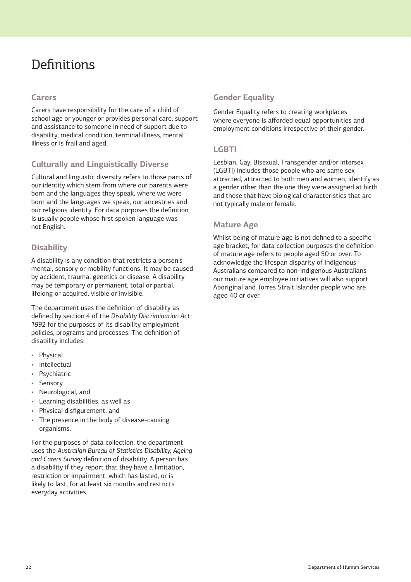## **Definitions**

#### **Carers**

Carers have responsibility for the care of a child of school age or younger or provides personal care, support and assistance to someone in need of support due to disability, medical condition, terminal illness, mental illness or is frail and aged.

#### **Culturally and Linguistically Diverse**

Cultural and linguistic diversity refers to those parts of our identity which stem from where our parents were born and the languages they speak, where we were born and the languages we speak, our ancestries and our religious identity. For data purposes the definition is usually people whose first spoken language was not English.

#### **Disability**

A disability is any condition that restricts a person's mental, sensory or mobility functions. It may be caused by accident, trauma, genetics or disease. A disability may be temporary or permanent, total or partial, lifelong or acquired, visible or invisible.

The department uses the definition of disability as defined by section 4 of the *Disability Discrimination Act 1992* for the purposes of its disability employment policies, programs and processes. The definition of disability includes:

- **Physical**
- **Intellectual**
- Psychiatric
- Sensory
- Neurological, and
- Learning disabilities, as well as
- Physical disfigurement, and
- The presence in the body of disease-causing organisms.

For the purposes of data collection, the department uses the *Australian Bureau of Statistics Disability*, *Ageing and Carers Survey* definition of disability. A person has a disability if they report that they have a limitation, restriction or impairment, which has lasted, or is likely to last, for at least six months and restricts everyday activities.

#### **Gender Equality**

Gender Equality refers to creating workplaces where everyone is afforded equal opportunities and employment conditions irrespective of their gender.

#### **LGBTI**

Lesbian, Gay, Bisexual, Transgender and/or Intersex (LGBTI) includes those people who are same sex attracted, attracted to both men and women, identify as a gender other than the one they were assigned at birth and those that have biological characteristics that are not typically male or female.

#### **Mature Age**

Whilst being of mature age is not defined to a specific age bracket, for data collection purposes the definition of mature age refers to people aged 50 or over. To acknowledge the lifespan disparity of Indigenous Australians compared to non-Indigenous Australians our mature age employee initiatives will also support Aboriginal and Torres Strait Islander people who are aged 40 or over.